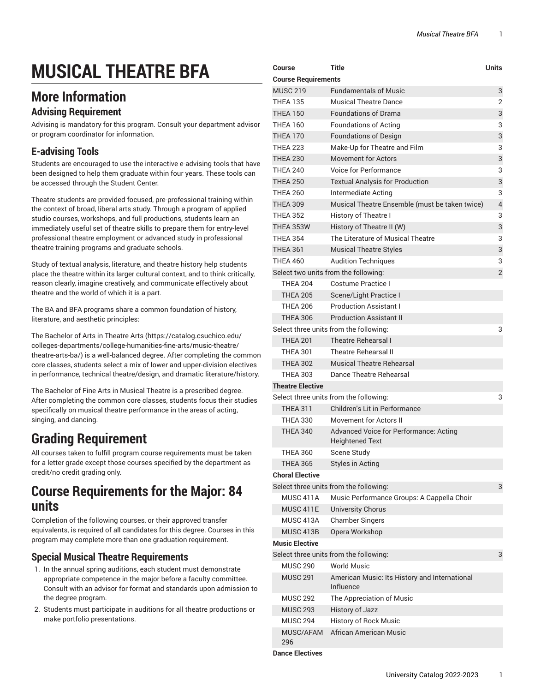# **MUSICAL THEATRE BFA**

## **More Information**

#### **Advising Requirement**

Advising is mandatory for this program. Consult your department advisor or program coordinator for information.

### **E-advising Tools**

Students are encouraged to use the interactive e-advising tools that have been designed to help them graduate within four years. These tools can be accessed through the Student Center.

Theatre students are provided focused, pre-professional training within the context of broad, liberal arts study. Through a program of applied studio courses, workshops, and full productions, students learn an immediately useful set of theatre skills to prepare them for entry-level professional theatre employment or advanced study in professional theatre training programs and graduate schools.

Study of textual analysis, literature, and theatre history help students place the theatre within its larger cultural context, and to think critically, reason clearly, imagine creatively, and communicate effectively about theatre and the world of which it is a part.

The BA and BFA programs share a common foundation of history, literature, and aesthetic principles:

The [Bachelor](https://catalog.csuchico.edu/colleges-departments/college-humanities-fine-arts/music-theatre/theatre-arts-ba/) of Arts in Theatre Arts ([https://catalog.csuchico.edu/](https://catalog.csuchico.edu/colleges-departments/college-humanities-fine-arts/music-theatre/theatre-arts-ba/) [colleges-departments/college-humanities-fine-arts/music-theatre/](https://catalog.csuchico.edu/colleges-departments/college-humanities-fine-arts/music-theatre/theatre-arts-ba/) [theatre-arts-ba/](https://catalog.csuchico.edu/colleges-departments/college-humanities-fine-arts/music-theatre/theatre-arts-ba/)) is a well-balanced degree. After completing the common core classes, students select a mix of lower and upper-division electives in performance, technical theatre/design, and dramatic literature/history.

The Bachelor of Fine Arts in Musical Theatre is a prescribed degree. After completing the common core classes, students focus their studies specifically on musical theatre performance in the areas of acting, singing, and dancing.

## **Grading Requirement**

All courses taken to fulfill program course requirements must be taken for a letter grade except those courses specified by the department as credit/no credit grading only.

## **Course Requirements for the Major: 84 units**

Completion of the following courses, or their approved transfer equivalents, is required of all candidates for this degree. Courses in this program may complete more than one graduation requirement.

#### **Special Musical Theatre Requirements**

- 1. In the annual spring auditions, each student must demonstrate appropriate competence in the major before a faculty committee. Consult with an advisor for format and standards upon admission to the degree program.
- 2. Students must participate in auditions for all theatre productions or make portfolio presentations.

| Course                     | <b>Title</b>                                   | <b>Units</b>   |  |
|----------------------------|------------------------------------------------|----------------|--|
| <b>Course Requirements</b> |                                                |                |  |
| <b>MUSC 219</b>            | <b>Fundamentals of Music</b>                   | 3              |  |
| <b>THEA 135</b>            | <b>Musical Theatre Dance</b>                   | $\overline{2}$ |  |
| <b>THEA 150</b>            | <b>Foundations of Drama</b>                    | 3              |  |
| <b>THEA 160</b>            | <b>Foundations of Acting</b>                   | 3              |  |
| <b>THEA 170</b>            | <b>Foundations of Design</b>                   | 3              |  |
| <b>THEA 223</b>            | Make-Up for Theatre and Film                   | 3              |  |
| <b>THEA 230</b>            | <b>Movement for Actors</b>                     | 3              |  |
| <b>THEA 240</b>            | Voice for Performance                          | 3              |  |
| <b>THEA 250</b>            | <b>Textual Analysis for Production</b>         | 3              |  |
| <b>THEA 260</b>            | Intermediate Acting                            | 3              |  |
| <b>THEA 309</b>            | Musical Theatre Ensemble (must be taken twice) | 4              |  |
| <b>THEA 352</b>            | History of Theatre I                           | 3              |  |
| THEA 353W                  | History of Theatre II (W)                      | 3              |  |
| <b>THEA 354</b>            | The Literature of Musical Theatre              | 3              |  |
| <b>THEA 361</b>            | <b>Musical Theatre Styles</b>                  | 3              |  |
| <b>THEA 460</b>            | <b>Audition Techniques</b>                     | 3              |  |
|                            | Select two units from the following:           | $\overline{2}$ |  |
| <b>THEA 204</b>            | Costume Practice I                             |                |  |
| <b>THEA 205</b>            | Scene/Light Practice I                         |                |  |
| <b>THEA 206</b>            | <b>Production Assistant I</b>                  |                |  |
| <b>THEA 306</b>            | <b>Production Assistant II</b>                 |                |  |
|                            | Select three units from the following:         | 3              |  |
| <b>THEA 201</b>            | <b>Theatre Rehearsal I</b>                     |                |  |
| <b>THEA 301</b>            | <b>Theatre Rehearsal II</b>                    |                |  |
| <b>THEA 302</b>            | Musical Theatre Rehearsal                      |                |  |
| <b>THEA 303</b>            | Dance Theatre Rehearsal                        |                |  |
| <b>Theatre Elective</b>    |                                                |                |  |
|                            | Select three units from the following:         | 3              |  |
| <b>THEA 311</b>            | Children's Lit in Performance                  |                |  |
| <b>THEA 330</b>            | Movement for Actors II                         |                |  |
| <b>THEA 340</b>            | Advanced Voice for Performance: Acting         |                |  |
|                            | <b>Heightened Text</b>                         |                |  |
| <b>THEA 360</b>            | Scene Study                                    |                |  |
| <b>THEA 365</b>            | <b>Styles in Acting</b>                        |                |  |
| <b>Choral Elective</b>     |                                                |                |  |
|                            | Select three units from the following:         | 3              |  |
| MUSC 411A                  | Music Performance Groups: A Cappella Choir     |                |  |
| MUSC 411E                  | <b>University Chorus</b>                       |                |  |
| MUSC 413A                  | <b>Chamber Singers</b>                         |                |  |
| MUSC 413B                  | Opera Workshop                                 |                |  |
| <b>Music Elective</b>      |                                                |                |  |
|                            | Select three units from the following:         | 3              |  |
| <b>MUSC 290</b>            | <b>World Music</b>                             |                |  |
| <b>MUSC 291</b>            | American Music: Its History and International  |                |  |
|                            | Influence                                      |                |  |
| <b>MUSC 292</b>            | The Appreciation of Music                      |                |  |
| <b>MUSC 293</b>            | <b>History of Jazz</b>                         |                |  |
| <b>MUSC 294</b>            | <b>History of Rock Music</b>                   |                |  |
| MUSC/AFAM<br>296           | African American Music                         |                |  |

**Dance Electives**